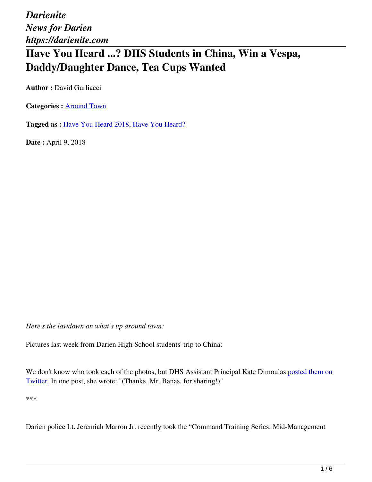## **Have You Heard ...? DHS Students in China, Win a Vespa, Daddy/Daughter Dance, Tea Cups Wanted**

**Author : David Gurliacci** 

**Categories :** [Around Town](https://darienite.com/category/news/around-town)

**Tagged as :** Have You Heard 2018, Have You Heard?

**Date :** April 9, 2018

*Here's the lowdown on what's up around town:*

Pictures last week from Darien High School students' trip to China:

We don't know who took each of the photos, but DHS Assistant Principal Kate Dimoulas posted them on Twitter. In one post, she wrote: "(Thanks, Mr. Banas, for sharing!)"

\*\*\*

Darien police Lt. Jeremiah Marron Jr. recently took the "Command Training Series: Mid-Management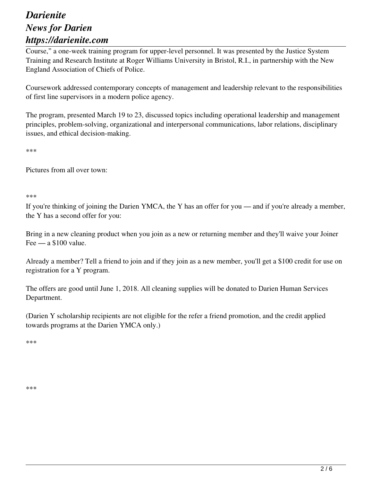Course," a one-week training program for upper-level personnel. It was presented by the Justice System Training and Research Institute at Roger Williams University in Bristol, R.I., in partnership with the New England Association of Chiefs of Police.

Coursework addressed contemporary concepts of management and leadership relevant to the responsibilities of first line supervisors in a modern police agency.

The program, presented March 19 to 23, discussed topics including operational leadership and management principles, problem-solving, organizational and interpersonal communications, labor relations, disciplinary issues, and ethical decision-making.

\*\*\*

Pictures from all over town:

\*\*\*

If you're thinking of joining the Darien YMCA, the Y has an offer for you — and if you're already a member, the Y has a second offer for you:

Bring in a new cleaning product when you join as a new or returning member and they'll waive your Joiner Fee — a \$100 value.

Already a member? Tell a friend to join and if they join as a new member, you'll get a \$100 credit for use on registration for a Y program.

The offers are good until June 1, 2018. All cleaning supplies will be donated to Darien Human Services Department.

(Darien Y scholarship recipients are not eligible for the refer a friend promotion, and the credit applied towards programs at the Darien YMCA only.)

\*\*\*

\*\*\*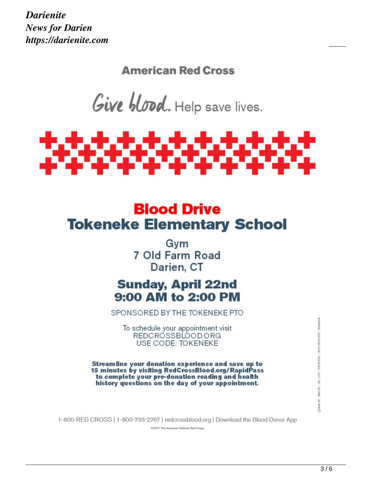**American Red Cross** 

Give blood. Help save lives.



# **Blood Drive Tokeneke Elementary School**

Gvm 7 Old Farm Road Darien, CT

## **Sunday, April 22nd** 9:00 AM to 2:00 PM

SPONSORED BY THE TOKENEKE PTO

To schedule your appointment visit REDCROSSBLOOD.ORG USE CODE: TOKENEKE

Streamline your donation experience and save up to 15 minutes by visiting RedCrossBlood.org/RapidPass to complete your pre-donation reading and health history questions on the day of your appointment.

1-800-RED CROSS | 1-800-733-2767 | redcrossblood.org | Download the Blood Donor App

C/2017 The American National Red Cross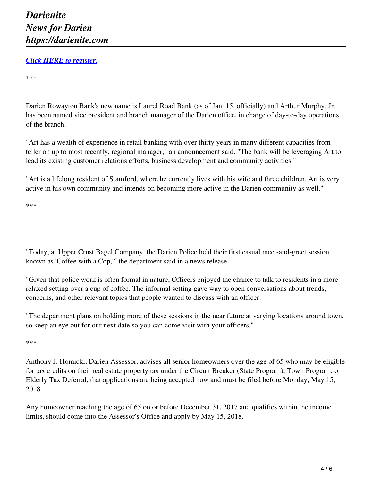#### *Click HERE to register.*

\*\*\*

Darien Rowayton Bank's new name is Laurel Road Bank (as of Jan. 15, officially) and Arthur Murphy, Jr. has been named vice president and branch manager of the Darien office, in charge of day-to-day operations of the branch.

"Art has a wealth of experience in retail banking with over thirty years in many different capacities from teller on up to most recently, regional manager," an announcement said. "The bank will be leveraging Art to lead its existing customer relations efforts, business development and community activities."

"Art is a lifelong resident of Stamford, where he currently lives with his wife and three children. Art is very active in his own community and intends on becoming more active in the Darien community as well."

\*\*\*

"Today, at Upper Crust Bagel Company, the Darien Police held their first casual meet-and-greet session known as 'Coffee with a Cop,'" the department said in a news release.

"Given that police work is often formal in nature, Officers enjoyed the chance to talk to residents in a more relaxed setting over a cup of coffee. The informal setting gave way to open conversations about trends, concerns, and other relevant topics that people wanted to discuss with an officer.

"The department plans on holding more of these sessions in the near future at varying locations around town, so keep an eye out for our next date so you can come visit with your officers."

\*\*\*

Anthony J. Homicki, Darien Assessor, advises all senior homeowners over the age of 65 who may be eligible for tax credits on their real estate property tax under the Circuit Breaker (State Program), Town Program, or Elderly Tax Deferral, that applications are being accepted now and must be filed before Monday, May 15, 2018.

Any homeowner reaching the age of 65 on or before December 31, 2017 and qualifies within the income limits, should come into the Assessor's Office and apply by May 15, 2018.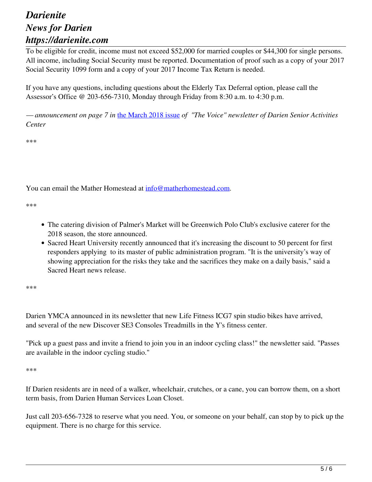To be eligible for credit, income must not exceed \$52,000 for married couples or \$44,300 for single persons. All income, including Social Security must be reported. Documentation of proof such as a copy of your 2017 Social Security 1099 form and a copy of your 2017 Income Tax Return is needed.

If you have any questions, including questions about the Elderly Tax Deferral option, please call the Assessor's Office @ 203-656-7310, Monday through Friday from 8:30 a.m. to 4:30 p.m.

*— announcement on page 7 in* the March 2018 issue *of "The Voice" newsletter of Darien Senior Activities Center*

\*\*\*

You can email the Mather Homestead at info@matherhomestead.com.

\*\*\*

- The catering division of Palmer's Market will be Greenwich Polo Club's exclusive caterer for the 2018 season, the store announced.
- Sacred Heart University recently announced that it's increasing the discount to 50 percent for first responders applying to its master of public administration program. "It is the university's way of showing appreciation for the risks they take and the sacrifices they make on a daily basis," said a Sacred Heart news release.

\*\*\*

Darien YMCA announced in its newsletter that new Life Fitness ICG7 spin studio bikes have arrived, and several of the new Discover SE3 Consoles Treadmills in the Y's fitness center.

"Pick up a guest pass and invite a friend to join you in an indoor cycling class!" the newsletter said. "Passes are available in the indoor cycling studio."

\*\*\*

If Darien residents are in need of a walker, wheelchair, crutches, or a cane, you can borrow them, on a short term basis, from Darien Human Services Loan Closet.

Just call 203-656-7328 to reserve what you need. You, or someone on your behalf, can stop by to pick up the equipment. There is no charge for this service.